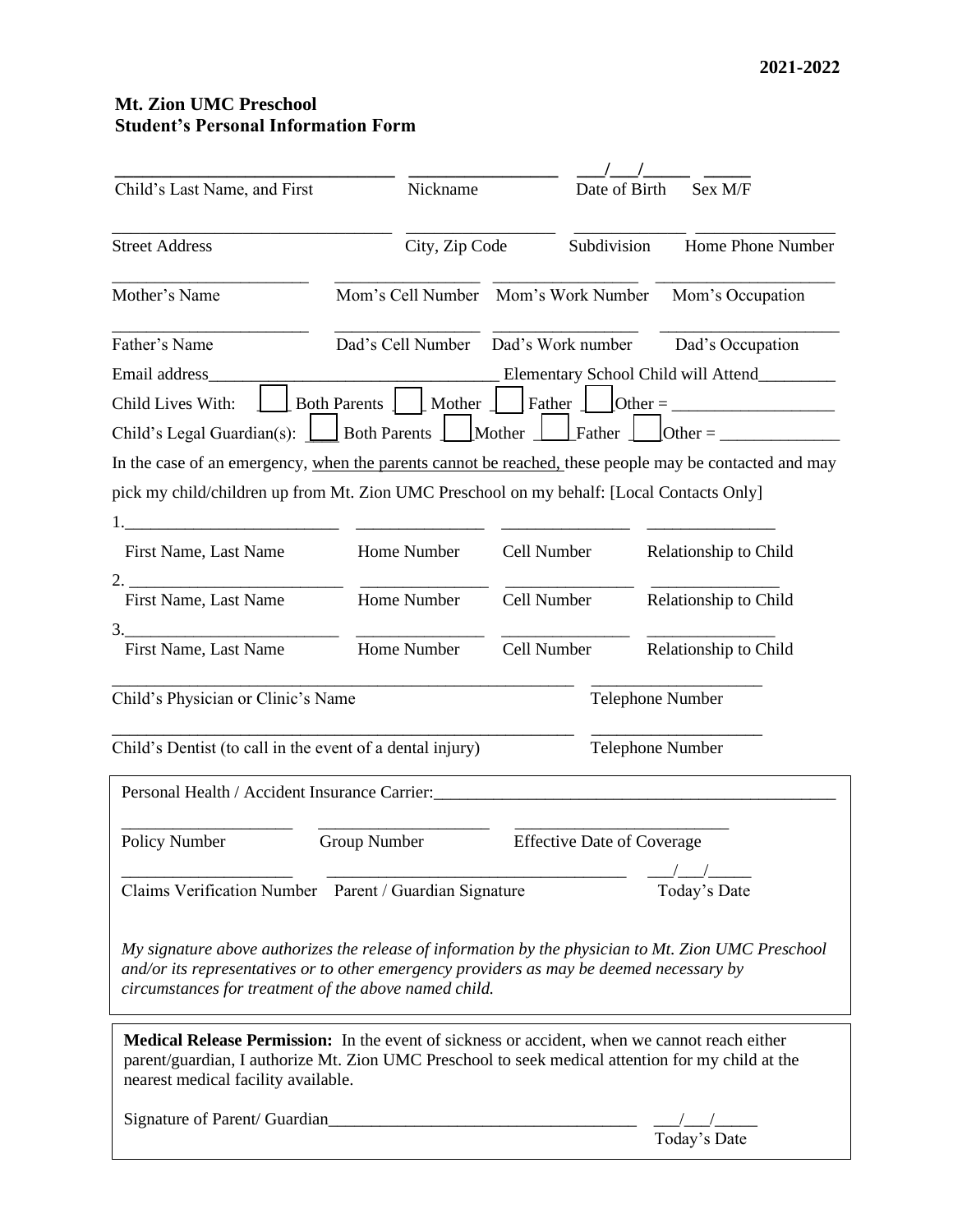## **Mt. Zion UMC Preschool Student's Personal Information Form**

| Child's Last Name, and First                                                                                                                                                                                                                     | Nickname                            |                                       | Sex M/F<br>Date of Birth                                                                            |  |
|--------------------------------------------------------------------------------------------------------------------------------------------------------------------------------------------------------------------------------------------------|-------------------------------------|---------------------------------------|-----------------------------------------------------------------------------------------------------|--|
|                                                                                                                                                                                                                                                  |                                     |                                       |                                                                                                     |  |
| <b>Street Address</b>                                                                                                                                                                                                                            | City, Zip Code                      | Subdivision                           | Home Phone Number                                                                                   |  |
| Mother's Name                                                                                                                                                                                                                                    | Mom's Cell Number Mom's Work Number |                                       | Mom's Occupation                                                                                    |  |
| Father's Name                                                                                                                                                                                                                                    | Dad's Cell Number                   | Dad's Work number<br>Dad's Occupation |                                                                                                     |  |
| Email address                                                                                                                                                                                                                                    |                                     |                                       | Elementary School Child will Attend__________                                                       |  |
| Child Lives With:                                                                                                                                                                                                                                | Mother<br><b>Both Parents</b>       | Father                                | $\text{Other} = \_$                                                                                 |  |
| Child's Legal Guardian(s): $\left  \right $                                                                                                                                                                                                      | Both Parents   Mother   Father      |                                       | Other = $\_\_$                                                                                      |  |
| In the case of an emergency, when the parents cannot be reached, these people may be contacted and may                                                                                                                                           |                                     |                                       |                                                                                                     |  |
| pick my child/children up from Mt. Zion UMC Preschool on my behalf: [Local Contacts Only]                                                                                                                                                        |                                     |                                       |                                                                                                     |  |
|                                                                                                                                                                                                                                                  |                                     |                                       |                                                                                                     |  |
| First Name, Last Name                                                                                                                                                                                                                            | Home Number                         | Cell Number                           | Relationship to Child                                                                               |  |
| 2.                                                                                                                                                                                                                                               |                                     |                                       |                                                                                                     |  |
| First Name, Last Name                                                                                                                                                                                                                            | Home Number                         | Cell Number                           | Relationship to Child                                                                               |  |
| 3.                                                                                                                                                                                                                                               |                                     |                                       |                                                                                                     |  |
| First Name, Last Name                                                                                                                                                                                                                            | Home Number                         | Cell Number                           | Relationship to Child                                                                               |  |
| Child's Physician or Clinic's Name                                                                                                                                                                                                               |                                     |                                       | <b>Telephone Number</b>                                                                             |  |
| Child's Dentist (to call in the event of a dental injury)                                                                                                                                                                                        |                                     |                                       | Telephone Number                                                                                    |  |
| Personal Health / Accident Insurance Carrier:                                                                                                                                                                                                    |                                     |                                       |                                                                                                     |  |
| Policy Number                                                                                                                                                                                                                                    | <b>Group Number</b>                 |                                       | <b>Effective Date of Coverage</b>                                                                   |  |
|                                                                                                                                                                                                                                                  |                                     |                                       |                                                                                                     |  |
| Claims Verification Number Parent / Guardian Signature                                                                                                                                                                                           |                                     |                                       | Today's Date                                                                                        |  |
| and/or its representatives or to other emergency providers as may be deemed necessary by<br>circumstances for treatment of the above named child.                                                                                                |                                     |                                       | My signature above authorizes the release of information by the physician to Mt. Zion UMC Preschool |  |
| <b>Medical Release Permission:</b> In the event of sickness or accident, when we cannot reach either<br>parent/guardian, I authorize Mt. Zion UMC Preschool to seek medical attention for my child at the<br>nearest medical facility available. |                                     |                                       |                                                                                                     |  |
|                                                                                                                                                                                                                                                  |                                     |                                       |                                                                                                     |  |
|                                                                                                                                                                                                                                                  |                                     |                                       | Today's Date                                                                                        |  |